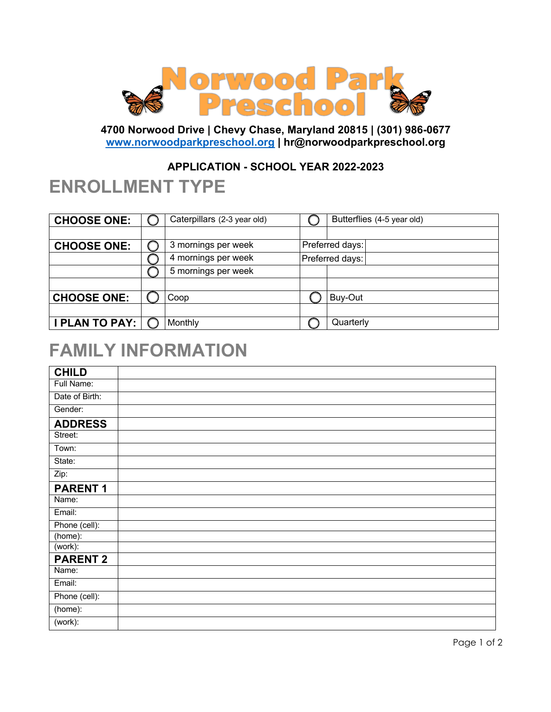

**4700 Norwood Drive | Chevy Chase, Maryland 20815 | (301) 986-0677 www.norwoodparkpreschool.org | hr@norwoodparkpreschool.org**

### **APPLICATION - SCHOOL YEAR 2022-2023**

### **ENROLLMENT TYPE**

| <b>CHOOSE ONE:</b>    | Caterpillars (2-3 year old) | Butterflies (4-5 year old) |
|-----------------------|-----------------------------|----------------------------|
|                       |                             |                            |
| <b>CHOOSE ONE:</b>    | 3 mornings per week         | Preferred days:            |
|                       | 4 mornings per week         | Preferred days:            |
|                       | 5 mornings per week         |                            |
|                       |                             |                            |
| <b>CHOOSE ONE:</b>    | Coop                        | Buy-Out                    |
|                       |                             |                            |
| <b>I PLAN TO PAY:</b> | Monthly                     | Quarterly                  |

## **FAMILY INFORMATION**

| <b>CHILD</b>    |  |
|-----------------|--|
| Full Name:      |  |
| Date of Birth:  |  |
| Gender:         |  |
| <b>ADDRESS</b>  |  |
| Street:         |  |
| Town:           |  |
| State:          |  |
| Zip:            |  |
| <b>PARENT1</b>  |  |
| Name:           |  |
| Email:          |  |
| Phone (cell):   |  |
| (home):         |  |
| (work):         |  |
| <b>PARENT 2</b> |  |
| Name:           |  |
| Email:          |  |
| Phone (cell):   |  |
| (home):         |  |
| (work):         |  |